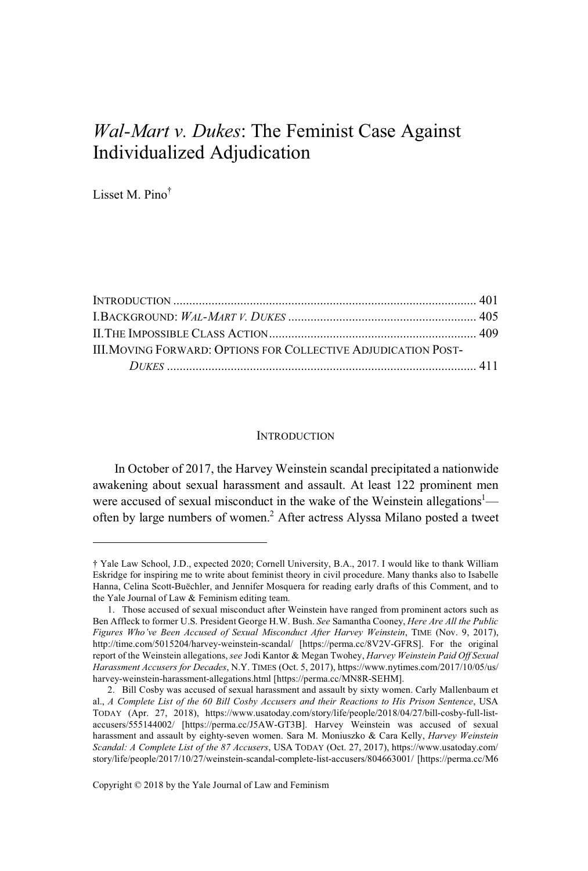# *Wal-Mart v. Dukes*: The Feminist Case Against Individualized Adjudication

Lisset M. Pino†

| <b>III. MOVING FORWARD: OPTIONS FOR COLLECTIVE ADJUDICATION POST-</b> |  |
|-----------------------------------------------------------------------|--|
|                                                                       |  |

#### **INTRODUCTION**

In October of 2017, the Harvey Weinstein scandal precipitated a nationwide awakening about sexual harassment and assault. At least 122 prominent men were accused of sexual misconduct in the wake of the Weinstein allegations<sup>1</sup> often by large numbers of women.<sup>2</sup> After actress Alyssa Milano posted a tweet

Copyright © 2018 by the Yale Journal of Law and Feminism

<sup>†</sup> Yale Law School, J.D., expected 2020; Cornell University, B.A., 2017. I would like to thank William Eskridge for inspiring me to write about feminist theory in civil procedure. Many thanks also to Isabelle Hanna, Celina Scott-Buëchler, and Jennifer Mosquera for reading early drafts of this Comment, and to the Yale Journal of Law & Feminism editing team.

<sup>1.</sup> Those accused of sexual misconduct after Weinstein have ranged from prominent actors such as Ben Affleck to former U.S. President George H.W. Bush. *See* Samantha Cooney, *Here Are All the Public Figures Who've Been Accused of Sexual Misconduct After Harvey Weinstein*, TIME (Nov. 9, 2017), http://time.com/5015204/harvey-weinstein-scandal/ [https://perma.cc/8V2V-GFRS]. For the original report of the Weinstein allegations, *see* Jodi Kantor & Megan Twohey, *Harvey Weinstein Paid Off Sexual Harassment Accusers for Decades*, N.Y. TIMES (Oct. 5, 2017), https://www.nytimes.com/2017/10/05/us/ harvey-weinstein-harassment-allegations.html [https://perma.cc/MN8R-SEHM].

<sup>2.</sup> Bill Cosby was accused of sexual harassment and assault by sixty women. Carly Mallenbaum et al., *A Complete List of the 60 Bill Cosby Accusers and their Reactions to His Prison Sentence*, USA TODAY (Apr. 27, 2018), https://www.usatoday.com/story/life/people/2018/04/27/bill-cosby-full-listaccusers/555144002/ [https://perma.cc/J5AW-GT3B]. Harvey Weinstein was accused of sexual harassment and assault by eighty-seven women. Sara M. Moniuszko & Cara Kelly, *Harvey Weinstein Scandal: A Complete List of the 87 Accusers*, USA TODAY (Oct. 27, 2017), https://www.usatoday.com/ story/life/people/2017/10/27/weinstein-scandal-complete-list-accusers/804663001/ [https://perma.cc/M6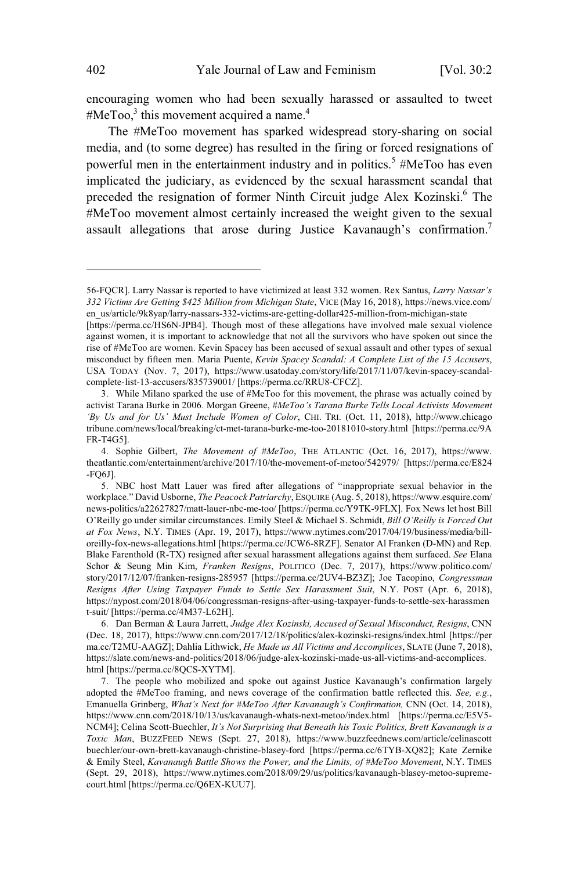encouraging women who had been sexually harassed or assaulted to tweet #MeToo, $3$  this movement acquired a name.<sup>4</sup>

The #MeToo movement has sparked widespread story-sharing on social media, and (to some degree) has resulted in the firing or forced resignations of powerful men in the entertainment industry and in politics.<sup>5</sup> #MeToo has even implicated the judiciary, as evidenced by the sexual harassment scandal that preceded the resignation of former Ninth Circuit judge Alex Kozinski.<sup>6</sup> The #MeToo movement almost certainly increased the weight given to the sexual assault allegations that arose during Justice Kavanaugh's confirmation.<sup>7</sup>

<sup>56-</sup>FQCR]. Larry Nassar is reported to have victimized at least 332 women. Rex Santus, *Larry Nassar's 332 Victims Are Getting \$425 Million from Michigan State*, VICE (May 16, 2018), https://news.vice.com/ en\_us/article/9k8yap/larry-nassars-332-victims-are-getting-dollar425-million-from-michigan-state

<sup>[</sup>https://perma.cc/HS6N-JPB4]. Though most of these allegations have involved male sexual violence against women, it is important to acknowledge that not all the survivors who have spoken out since the rise of #MeToo are women. Kevin Spacey has been accused of sexual assault and other types of sexual misconduct by fifteen men. Maria Puente, *Kevin Spacey Scandal: A Complete List of the 15 Accusers*, USA TODAY (Nov. 7, 2017), https://www.usatoday.com/story/life/2017/11/07/kevin-spacey-scandalcomplete-list-13-accusers/835739001/ [https://perma.cc/RRU8-CFCZ].

<sup>3.</sup> While Milano sparked the use of #MeToo for this movement, the phrase was actually coined by activist Tarana Burke in 2006. Morgan Greene, *#MeToo's Tarana Burke Tells Local Activists Movement 'By Us and for Us' Must Include Women of Color*, CHI. TRI. (Oct. 11, 2018), http://www.chicago tribune.com/news/local/breaking/ct-met-tarana-burke-me-too-20181010-story.html [https://perma.cc/9A FR-T4G5].

<sup>4.</sup> Sophie Gilbert, *The Movement of #MeToo*, THE ATLANTIC (Oct. 16, 2017), https://www. theatlantic.com/entertainment/archive/2017/10/the-movement-of-metoo/542979/ [https://perma.cc/E824 -FQ6J].

<sup>5.</sup> NBC host Matt Lauer was fired after allegations of "inappropriate sexual behavior in the workplace." David Usborne, *The Peacock Patriarchy*, ESQUIRE (Aug. 5, 2018), https://www.esquire.com/ news-politics/a22627827/matt-lauer-nbc-me-too/ [https://perma.cc/Y9TK-9FLX]. Fox News let host Bill O'Reilly go under similar circumstances. Emily Steel & Michael S. Schmidt, *Bill O'Reilly is Forced Out at Fox News*, N.Y. TIMES (Apr. 19, 2017), https://www.nytimes.com/2017/04/19/business/media/billoreilly-fox-news-allegations.html [https://perma.cc/JCW6-8RZF]. Senator Al Franken (D-MN) and Rep. Blake Farenthold (R-TX) resigned after sexual harassment allegations against them surfaced. *See* Elana Schor & Seung Min Kim, *Franken Resigns*, POLITICO (Dec. 7, 2017), https://www.politico.com/ story/2017/12/07/franken-resigns-285957 [https://perma.cc/2UV4-BZ3Z]; Joe Tacopino, *Congressman Resigns After Using Taxpayer Funds to Settle Sex Harassment Suit*, N.Y. POST (Apr. 6, 2018), https://nypost.com/2018/04/06/congressman-resigns-after-using-taxpayer-funds-to-settle-sex-harassmen t-suit/ [https://perma.cc/4M37-L62H].

<sup>6.</sup> Dan Berman & Laura Jarrett, *Judge Alex Kozinski, Accused of Sexual Misconduct, Resigns*, CNN (Dec. 18, 2017), https://www.cnn.com/2017/12/18/politics/alex-kozinski-resigns/index.html [https://per ma.cc/T2MU-AAGZ]; Dahlia Lithwick, *He Made us All Victims and Accomplices*, SLATE (June 7, 2018), https://slate.com/news-and-politics/2018/06/judge-alex-kozinski-made-us-all-victims-and-accomplices. html [https://perma.cc/8QCS-XYTM].

<sup>7.</sup> The people who mobilized and spoke out against Justice Kavanaugh's confirmation largely adopted the #MeToo framing, and news coverage of the confirmation battle reflected this. *See, e.g.*, Emanuella Grinberg, *What's Next for #MeToo After Kavanaugh's Confirmation,* CNN (Oct. 14, 2018), https://www.cnn.com/2018/10/13/us/kavanaugh-whats-next-metoo/index.html [https://perma.cc/E5V5- NCM4]; Celina Scott-Buechler, *It's Not Surprising that Beneath his Toxic Politics, Brett Kavanaugh is a Toxic Man*, BUZZFEED NEWS (Sept. 27, 2018), https://www.buzzfeednews.com/article/celinascott buechler/our-own-brett-kavanaugh-christine-blasey-ford [https://perma.cc/6TYB-XQ82]; Kate Zernike & Emily Steel, *Kavanaugh Battle Shows the Power, and the Limits, of #MeToo Movement*, N.Y. TIMES (Sept. 29, 2018), https://www.nytimes.com/2018/09/29/us/politics/kavanaugh-blasey-metoo-supremecourt.html [https://perma.cc/Q6EX-KUU7].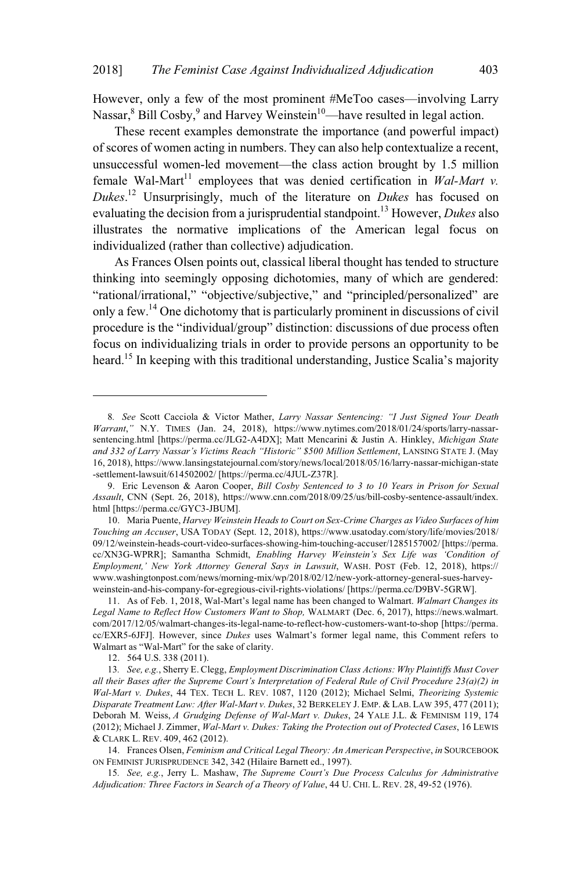However, only a few of the most prominent #MeToo cases—involving Larry Nassar, ${}^{8}$  Bill Cosby, ${}^{9}$  and Harvey Weinstein<sup>10</sup>—have resulted in legal action.

These recent examples demonstrate the importance (and powerful impact) of scores of women acting in numbers. They can also help contextualize a recent, unsuccessful women-led movement—the class action brought by 1.5 million female Wal-Mart<sup>11</sup> employees that was denied certification in *Wal-Mart v. Dukes*. <sup>12</sup> Unsurprisingly, much of the literature on *Dukes* has focused on evaluating the decision from a jurisprudential standpoint.<sup>13</sup> However, *Dukes* also illustrates the normative implications of the American legal focus on individualized (rather than collective) adjudication.

As Frances Olsen points out, classical liberal thought has tended to structure thinking into seemingly opposing dichotomies, many of which are gendered: "rational/irrational," "objective/subjective," and "principled/personalized" are only a few.<sup>14</sup> One dichotomy that is particularly prominent in discussions of civil procedure is the "individual/group" distinction: discussions of due process often focus on individualizing trials in order to provide persons an opportunity to be heard.<sup>15</sup> In keeping with this traditional understanding, Justice Scalia's majority

12. 564 U.S. 338 (2011).

<sup>8</sup>*. See* Scott Cacciola & Victor Mather, *Larry Nassar Sentencing: "I Just Signed Your Death Warrant*,*"* N.Y. TIMES (Jan. 24, 2018), https://www.nytimes.com/2018/01/24/sports/larry-nassarsentencing.html [https://perma.cc/JLG2-A4DX]; Matt Mencarini & Justin A. Hinkley, *Michigan State and 332 of Larry Nassar's Victims Reach "Historic" \$500 Million Settlement*, LANSING STATE J. (May 16, 2018), https://www.lansingstatejournal.com/story/news/local/2018/05/16/larry-nassar-michigan-state -settlement-lawsuit/614502002/ [https://perma.cc/4JUL-Z37R].

<sup>9.</sup> Eric Levenson & Aaron Cooper, *Bill Cosby Sentenced to 3 to 10 Years in Prison for Sexual Assault*, CNN (Sept. 26, 2018), https://www.cnn.com/2018/09/25/us/bill-cosby-sentence-assault/index. html [https://perma.cc/GYC3-JBUM].

<sup>10.</sup> Maria Puente, *Harvey Weinstein Heads to Court on Sex-Crime Charges as Video Surfaces of him Touching an Accuser*, USA TODAY (Sept. 12, 2018), https://www.usatoday.com/story/life/movies/2018/ 09/12/weinstein-heads-court-video-surfaces-showing-him-touching-accuser/1285157002/ [https://perma. cc/XN3G-WPRR]; Samantha Schmidt, *Enabling Harvey Weinstein's Sex Life was 'Condition of Employment,' New York Attorney General Says in Lawsuit*, WASH. POST (Feb. 12, 2018), https:// www.washingtonpost.com/news/morning-mix/wp/2018/02/12/new-york-attorney-general-sues-harveyweinstein-and-his-company-for-egregious-civil-rights-violations/ [https://perma.cc/D9BV-5GRW].

<sup>11.</sup> As of Feb. 1, 2018, Wal-Mart's legal name has been changed to Walmart. *Walmart Changes its Legal Name to Reflect How Customers Want to Shop,* WALMART (Dec. 6, 2017), https://news.walmart. com/2017/12/05/walmart-changes-its-legal-name-to-reflect-how-customers-want-to-shop [https://perma. cc/EXR5-6JFJ]. However, since *Dukes* uses Walmart's former legal name, this Comment refers to Walmart as "Wal-Mart" for the sake of clarity.

<sup>13</sup>*. See, e.g.*, Sherry E. Clegg, *Employment Discrimination Class Actions: Why Plaintiffs Must Cover all their Bases after the Supreme Court's Interpretation of Federal Rule of Civil Procedure 23(a)(2) in Wal-Mart v. Dukes*, 44 TEX. TECH L. REV. 1087, 1120 (2012); Michael Selmi, *Theorizing Systemic Disparate Treatment Law: After Wal-Mart v. Dukes*, 32 BERKELEY J. EMP. & LAB. LAW 395, 477 (2011); Deborah M. Weiss, *A Grudging Defense of Wal-Mart v. Dukes*, 24 YALE J.L. & FEMINISM 119, 174 (2012); Michael J. Zimmer, *Wal-Mart v. Dukes: Taking the Protection out of Protected Cases*, 16 LEWIS & CLARK L. REV. 409, 462 (2012).

<sup>14.</sup> Frances Olsen, *Feminism and Critical Legal Theory: An American Perspective*, *in* SOURCEBOOK ON FEMINIST JURISPRUDENCE 342, 342 (Hilaire Barnett ed., 1997).

<sup>15</sup>*. See, e.g.*, Jerry L. Mashaw, *The Supreme Court's Due Process Calculus for Administrative Adjudication: Three Factors in Search of a Theory of Value*, 44 U. CHI. L. REV. 28, 49-52 (1976).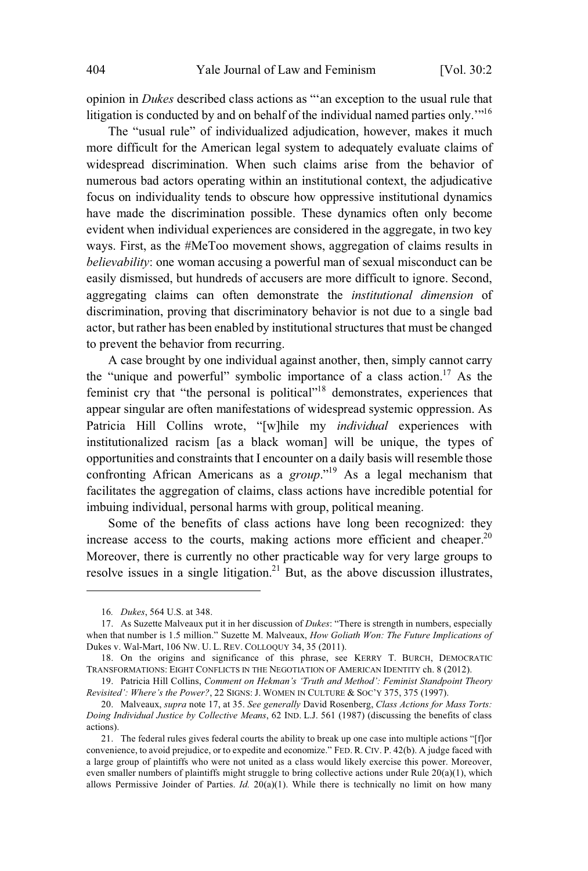opinion in *Dukes* described class actions as "'an exception to the usual rule that litigation is conducted by and on behalf of the individual named parties only.<sup>"<sup>16</sup></sup>

The "usual rule" of individualized adjudication, however, makes it much more difficult for the American legal system to adequately evaluate claims of widespread discrimination. When such claims arise from the behavior of numerous bad actors operating within an institutional context, the adjudicative focus on individuality tends to obscure how oppressive institutional dynamics have made the discrimination possible. These dynamics often only become evident when individual experiences are considered in the aggregate, in two key ways. First, as the #MeToo movement shows, aggregation of claims results in *believability*: one woman accusing a powerful man of sexual misconduct can be easily dismissed, but hundreds of accusers are more difficult to ignore. Second, aggregating claims can often demonstrate the *institutional dimension* of discrimination, proving that discriminatory behavior is not due to a single bad actor, but rather has been enabled by institutional structures that must be changed to prevent the behavior from recurring.

A case brought by one individual against another, then, simply cannot carry the "unique and powerful" symbolic importance of a class action.<sup>17</sup> As the feminist cry that "the personal is political"<sup>18</sup> demonstrates, experiences that appear singular are often manifestations of widespread systemic oppression. As Patricia Hill Collins wrote, "[w]hile my *individual* experiences with institutionalized racism [as a black woman] will be unique, the types of opportunities and constraints that I encounter on a daily basis will resemble those confronting African Americans as a *group*."<sup>19</sup> As a legal mechanism that facilitates the aggregation of claims, class actions have incredible potential for imbuing individual, personal harms with group, political meaning.

Some of the benefits of class actions have long been recognized: they increase access to the courts, making actions more efficient and cheaper.<sup>20</sup> Moreover, there is currently no other practicable way for very large groups to resolve issues in a single litigation.<sup>21</sup> But, as the above discussion illustrates,

<sup>16</sup>*. Dukes*, 564 U.S. at 348.

<sup>17.</sup> As Suzette Malveaux put it in her discussion of *Dukes*: "There is strength in numbers, especially when that number is 1.5 million." Suzette M. Malveaux, *How Goliath Won: The Future Implications of* Dukes v. Wal-Mart, 106 NW. U. L. REV. COLLOQUY 34, 35 (2011).

<sup>18.</sup> On the origins and significance of this phrase, see KERRY T. BURCH, DEMOCRATIC TRANSFORMATIONS: EIGHT CONFLICTS IN THE NEGOTIATION OF AMERICAN IDENTITY ch. 8 (2012).

<sup>19.</sup> Patricia Hill Collins, *Comment on Hekman's 'Truth and Method': Feminist Standpoint Theory Revisited': Where's the Power?*, 22 SIGNS: J. WOMEN IN CULTURE & SOC'Y 375, 375 (1997).

<sup>20.</sup> Malveaux, *supra* note 17, at 35. *See generally* David Rosenberg, *Class Actions for Mass Torts: Doing Individual Justice by Collective Means*, 62 IND. L.J. 561 (1987) (discussing the benefits of class actions).

<sup>21.</sup> The federal rules gives federal courts the ability to break up one case into multiple actions "[f]or convenience, to avoid prejudice, or to expedite and economize." FED. R. CIV. P. 42(b). A judge faced with a large group of plaintiffs who were not united as a class would likely exercise this power. Moreover, even smaller numbers of plaintiffs might struggle to bring collective actions under Rule 20(a)(1), which allows Permissive Joinder of Parties. *Id.* 20(a)(1). While there is technically no limit on how many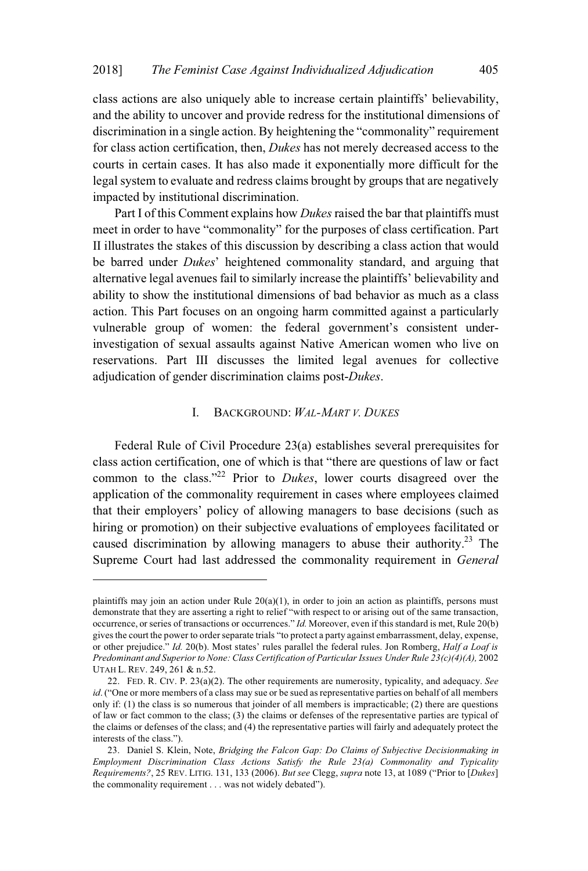class actions are also uniquely able to increase certain plaintiffs' believability, and the ability to uncover and provide redress for the institutional dimensions of discrimination in a single action. By heightening the "commonality" requirement for class action certification, then, *Dukes* has not merely decreased access to the courts in certain cases. It has also made it exponentially more difficult for the legal system to evaluate and redress claims brought by groups that are negatively impacted by institutional discrimination.

Part I of this Comment explains how *Dukes* raised the bar that plaintiffs must meet in order to have "commonality" for the purposes of class certification. Part II illustrates the stakes of this discussion by describing a class action that would be barred under *Dukes*' heightened commonality standard, and arguing that alternative legal avenues fail to similarly increase the plaintiffs' believability and ability to show the institutional dimensions of bad behavior as much as a class action. This Part focuses on an ongoing harm committed against a particularly vulnerable group of women: the federal government's consistent underinvestigation of sexual assaults against Native American women who live on reservations. Part III discusses the limited legal avenues for collective adjudication of gender discrimination claims post-*Dukes*.

## I. BACKGROUND: *WAL-MART V. DUKES*

Federal Rule of Civil Procedure 23(a) establishes several prerequisites for class action certification, one of which is that "there are questions of law or fact common to the class."<sup>22</sup> Prior to *Dukes*, lower courts disagreed over the application of the commonality requirement in cases where employees claimed that their employers' policy of allowing managers to base decisions (such as hiring or promotion) on their subjective evaluations of employees facilitated or caused discrimination by allowing managers to abuse their authority.<sup>23</sup> The Supreme Court had last addressed the commonality requirement in *General*

plaintiffs may join an action under Rule  $20(a)(1)$ , in order to join an action as plaintiffs, persons must demonstrate that they are asserting a right to relief "with respect to or arising out of the same transaction, occurrence, or series of transactions or occurrences." *Id.* Moreover, even if thisstandard is met, Rule 20(b) givesthe court the power to orderseparate trials "to protect a party against embarrassment, delay, expense, or other prejudice." *Id.* 20(b). Most states' rules parallel the federal rules. Jon Romberg, *Half a Loaf is Predominant and Superiorto None: Class Certification of ParticularIssues Under Rule 23(c)(4)(A),* 2002 UTAH L. REV. 249, 261 & n.52.

<sup>22.</sup> FED. R. CIV. P. 23(a)(2). The other requirements are numerosity, typicality, and adequacy. *See id*. ("One or more members of a class may sue or be sued as representative parties on behalf of all members only if: (1) the class is so numerous that joinder of all members is impracticable; (2) there are questions of law or fact common to the class; (3) the claims or defenses of the representative parties are typical of the claims or defenses of the class; and (4) the representative parties will fairly and adequately protect the interests of the class.").

<sup>23.</sup> Daniel S. Klein, Note, *Bridging the Falcon Gap: Do Claims of Subjective Decisionmaking in Employment Discrimination Class Actions Satisfy the Rule 23(a) Commonality and Typicality Requirements?*, 25 REV. LITIG. 131, 133 (2006). *But see* Clegg, *supra* note 13, at 1089 ("Prior to [*Dukes*] the commonality requirement . . . was not widely debated").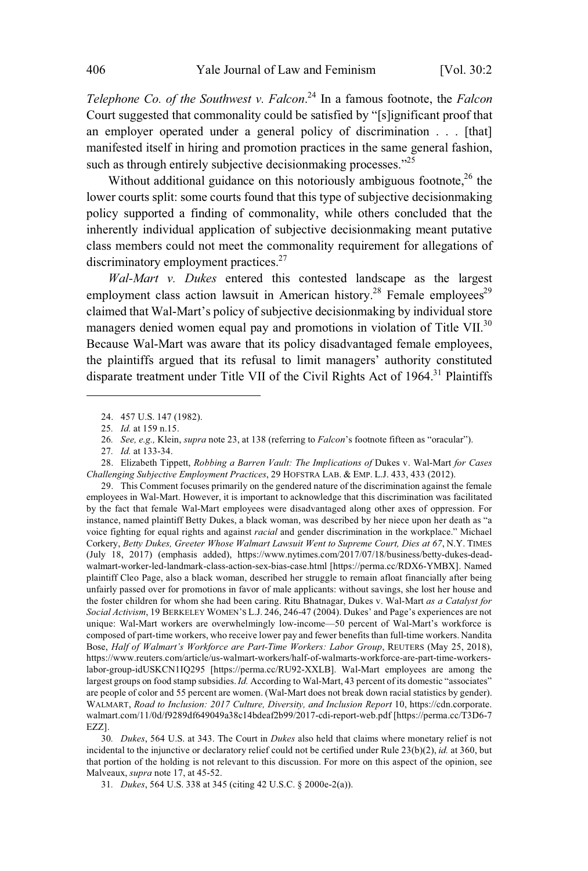*Telephone Co. of the Southwest v. Falcon*. <sup>24</sup> In a famous footnote, the *Falcon* Court suggested that commonality could be satisfied by "[s]ignificant proof that an employer operated under a general policy of discrimination . . . [that] manifested itself in hiring and promotion practices in the same general fashion, such as through entirely subjective decision making processes."<sup>25</sup>

Without additional guidance on this notoriously ambiguous footnote,  $26$  the lower courts split: some courts found that this type of subjective decisionmaking policy supported a finding of commonality, while others concluded that the inherently individual application of subjective decisionmaking meant putative class members could not meet the commonality requirement for allegations of discriminatory employment practices.<sup>27</sup>

*Wal-Mart v. Dukes* entered this contested landscape as the largest employment class action lawsuit in American history.<sup>28</sup> Female employees<sup>29</sup> claimed that Wal-Mart's policy of subjective decisionmaking by individual store managers denied women equal pay and promotions in violation of Title VII.<sup>30</sup> Because Wal-Mart was aware that its policy disadvantaged female employees, the plaintiffs argued that its refusal to limit managers' authority constituted disparate treatment under Title VII of the Civil Rights Act of 1964.<sup>31</sup> Plaintiffs

29. This Comment focuses primarily on the gendered nature of the discrimination against the female employees in Wal-Mart. However, it is important to acknowledge that this discrimination was facilitated by the fact that female Wal-Mart employees were disadvantaged along other axes of oppression. For instance, named plaintiff Betty Dukes, a black woman, was described by her niece upon her death as "a voice fighting for equal rights and against *racial* and gender discrimination in the workplace." Michael Corkery, *Betty Dukes, Greeter Whose Walmart Lawsuit Went to Supreme Court, Dies at 67*, N.Y. TIMES (July 18, 2017) (emphasis added), https://www.nytimes.com/2017/07/18/business/betty-dukes-deadwalmart-worker-led-landmark-class-action-sex-bias-case.html [https://perma.cc/RDX6-YMBX]. Named plaintiff Cleo Page, also a black woman, described her struggle to remain afloat financially after being unfairly passed over for promotions in favor of male applicants: without savings, she lost her house and the foster children for whom she had been caring. Ritu Bhatnagar, Dukes v. Wal-Mart *as a Catalyst for Social Activism*, 19 BERKELEY WOMEN'S L.J. 246, 246-47 (2004). Dukes' and Page's experiences are not unique: Wal-Mart workers are overwhelmingly low-income—50 percent of Wal-Mart's workforce is composed of part-time workers, who receive lower pay and fewer benefits than full-time workers. Nandita Bose, *Half of Walmart's Workforce are Part-Time Workers: Labor Group*, REUTERS (May 25, 2018), https://www.reuters.com/article/us-walmart-workers/half-of-walmarts-workforce-are-part-time-workerslabor-group-idUSKCN1IQ295 [https://perma.cc/RU92-XXLB]. Wal-Mart employees are among the largest groups on food stamp subsidies. *Id.* According to Wal-Mart, 43 percent of its domestic "associates" are people of color and 55 percent are women. (Wal-Mart does not break down racial statistics by gender). WALMART, *Road to Inclusion: 2017 Culture, Diversity, and Inclusion Report* 10, https://cdn.corporate. walmart.com/11/0d/f9289df649049a38c14bdeaf2b99/2017-cdi-report-web.pdf [https://perma.cc/T3D6-7 EZZ].

30*. Dukes*, 564 U.S. at 343. The Court in *Dukes* also held that claims where monetary relief is not incidental to the injunctive or declaratory relief could not be certified under Rule 23(b)(2), *id.* at 360, but that portion of the holding is not relevant to this discussion. For more on this aspect of the opinion, see Malveaux, *supra* note 17, at 45-52.

<sup>24. 457</sup> U.S. 147 (1982).

<sup>25</sup>*. Id.* at 159 n.15.

<sup>26</sup>*. See, e.g.,* Klein, *supra* note 23, at 138 (referring to *Falcon*'s footnote fifteen as "oracular").

<sup>27</sup>*. Id.* at 133-34.

<sup>28.</sup> Elizabeth Tippett, *Robbing a Barren Vault: The Implications of* Dukes v. Wal-Mart *for Cases Challenging Subjective Employment Practices*, 29 HOFSTRA LAB. & EMP. L.J. 433, 433 (2012).

<sup>31</sup>*. Dukes*, 564 U.S. 338 at 345 (citing 42 U.S.C. § 2000e-2(a)).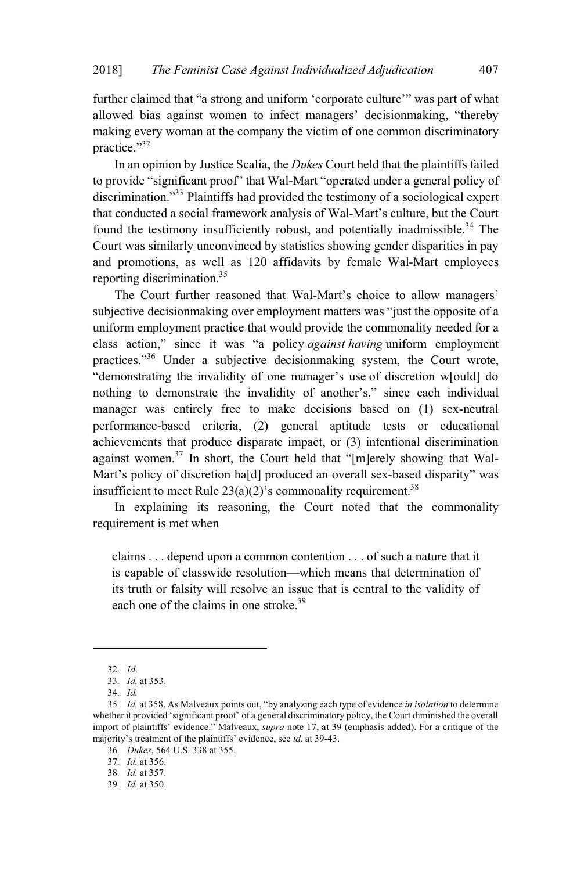further claimed that "a strong and uniform 'corporate culture'" was part of what allowed bias against women to infect managers' decisionmaking, "thereby making every woman at the company the victim of one common discriminatory practice."<sup>32</sup>

In an opinion by Justice Scalia, the *Dukes* Court held that the plaintiffs failed to provide "significant proof" that Wal-Mart "operated under a general policy of discrimination."<sup>33</sup> Plaintiffs had provided the testimony of a sociological expert that conducted a social framework analysis of Wal-Mart's culture, but the Court found the testimony insufficiently robust, and potentially inadmissible.<sup>34</sup> The Court was similarly unconvinced by statistics showing gender disparities in pay and promotions, as well as 120 affidavits by female Wal-Mart employees reporting discrimination.<sup>35</sup>

The Court further reasoned that Wal-Mart's choice to allow managers' subjective decisionmaking over employment matters was "just the opposite of a uniform employment practice that would provide the commonality needed for a class action," since it was "a policy *against having* uniform employment practices."<sup>36</sup> Under a subjective decisionmaking system, the Court wrote, "demonstrating the invalidity of one manager's use of discretion w[ould] do nothing to demonstrate the invalidity of another's," since each individual manager was entirely free to make decisions based on (1) sex-neutral performance-based criteria, (2) general aptitude tests or educational achievements that produce disparate impact, or (3) intentional discrimination against women.<sup>37</sup> In short, the Court held that "[m]erely showing that Wal-Mart's policy of discretion ha[d] produced an overall sex-based disparity" was insufficient to meet Rule  $23(a)(2)$ 's commonality requirement.<sup>38</sup>

In explaining its reasoning, the Court noted that the commonality requirement is met when

claims . . . depend upon a common contention . . . of such a nature that it is capable of classwide resolution—which means that determination of its truth or falsity will resolve an issue that is central to the validity of each one of the claims in one stroke.<sup>39</sup>

<sup>32</sup>*. Id*.

<sup>33</sup>*. Id.* at 353.

<sup>34</sup>*. Id.*

<sup>35</sup>*. Id.* at 358. As Malveaux points out, "by analyzing each type of evidence *in isolation* to determine whether it provided 'significant proof' of a general discriminatory policy, the Court diminished the overall import of plaintiffs' evidence." Malveaux, *supra* note 17, at 39 (emphasis added). For a critique of the majority's treatment of the plaintiffs' evidence, see *id*. at 39-43.

<sup>36</sup>*. Dukes*, 564 U.S. 338 at 355.

<sup>37</sup>*. Id.* at 356.

<sup>38</sup>*. Id.* at 357.

<sup>39</sup>*. Id.* at 350.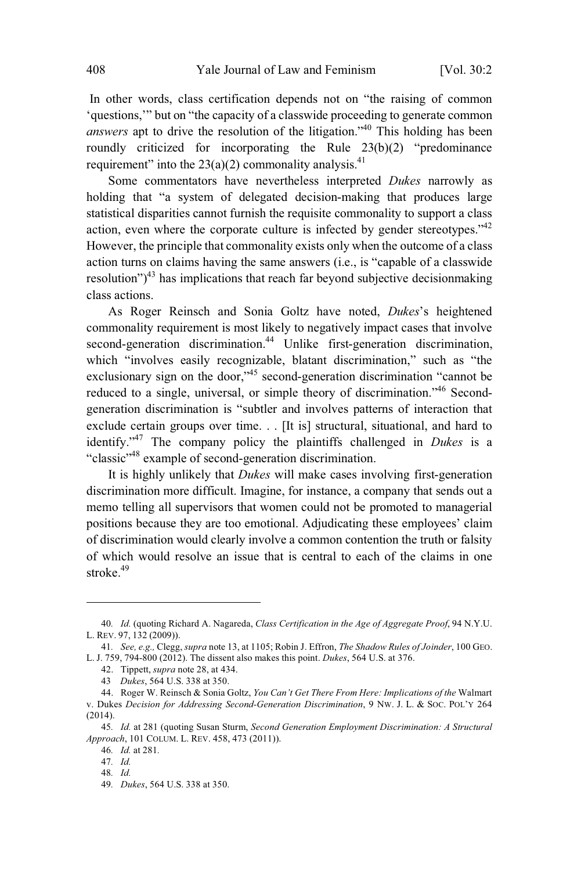In other words, class certification depends not on "the raising of common 'questions,'" but on "the capacity of a classwide proceeding to generate common *answers* apt to drive the resolution of the litigation."<sup>40</sup> This holding has been roundly criticized for incorporating the Rule 23(b)(2) "predominance requirement" into the  $23(a)(2)$  commonality analysis.<sup>41</sup>

Some commentators have nevertheless interpreted *Dukes* narrowly as holding that "a system of delegated decision-making that produces large statistical disparities cannot furnish the requisite commonality to support a class action, even where the corporate culture is infected by gender stereotypes.<sup> $42$ </sup> However, the principle that commonality exists only when the outcome of a class action turns on claims having the same answers (i.e., is "capable of a classwide resolution")<sup>43</sup> has implications that reach far beyond subjective decision making class actions.

As Roger Reinsch and Sonia Goltz have noted, *Dukes*'s heightened commonality requirement is most likely to negatively impact cases that involve second-generation discrimination.<sup>44</sup> Unlike first-generation discrimination, which "involves easily recognizable, blatant discrimination," such as "the exclusionary sign on the door,"<sup>45</sup> second-generation discrimination "cannot be reduced to a single, universal, or simple theory of discrimination."<sup>46</sup> Secondgeneration discrimination is "subtler and involves patterns of interaction that exclude certain groups over time. . . [It is] structural, situational, and hard to identify."<sup>47</sup> The company policy the plaintiffs challenged in *Dukes* is a "classic"<sup>48</sup> example of second-generation discrimination.

It is highly unlikely that *Dukes* will make cases involving first-generation discrimination more difficult. Imagine, for instance, a company that sends out a memo telling all supervisors that women could not be promoted to managerial positions because they are too emotional. Adjudicating these employees' claim of discrimination would clearly involve a common contention the truth or falsity of which would resolve an issue that is central to each of the claims in one stroke.<sup>49</sup>

<sup>40</sup>*. Id.* (quoting Richard A. Nagareda, *Class Certification in the Age of Aggregate Proof*, 94 N.Y.U. L. REV. 97, 132 (2009)).

<sup>41</sup>*. See, e.g.,* Clegg, *supra* note 13, at 1105; Robin J. Effron, *The Shadow Rules of Joinder*, 100 GEO. L. J. 759, 794-800 (2012). The dissent also makes this point. *Dukes*, 564 U.S. at 376.

<sup>42.</sup> Tippett, *supra* note 28, at 434.

<sup>43</sup> *Dukes*, 564 U.S. 338 at 350.

<sup>44.</sup> Roger W. Reinsch & Sonia Goltz, *You Can't Get There From Here: Implications of the* Walmart v. Dukes *Decision for Addressing Second-Generation Discrimination*, 9 NW. J. L. & SOC. POL'Y 264 (2014).

<sup>45</sup>*. Id.* at 281 (quoting Susan Sturm, *Second Generation Employment Discrimination: A Structural Approach*, 101 COLUM. L. REV. 458, 473 (2011)).

<sup>46</sup>*. Id.* at 281*.*

<sup>47</sup>*. Id.*

<sup>48</sup>*. Id.*

<sup>49</sup>*. Dukes*, 564 U.S. 338 at 350.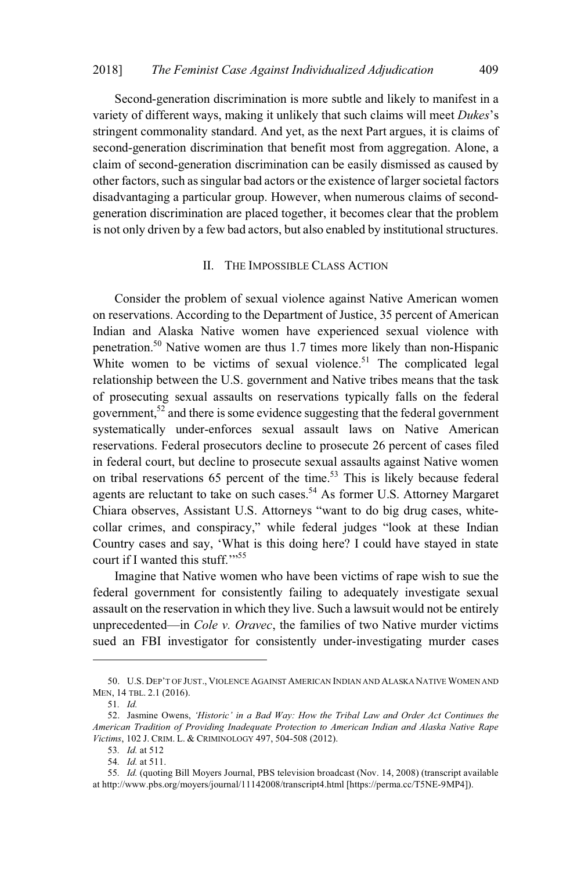Second-generation discrimination is more subtle and likely to manifest in a variety of different ways, making it unlikely that such claims will meet *Dukes*'s stringent commonality standard. And yet, as the next Part argues, it is claims of second-generation discrimination that benefit most from aggregation. Alone, a claim of second-generation discrimination can be easily dismissed as caused by other factors, such as singular bad actors or the existence of larger societal factors disadvantaging a particular group. However, when numerous claims of secondgeneration discrimination are placed together, it becomes clear that the problem is not only driven by a few bad actors, but also enabled by institutional structures.

### II. THE IMPOSSIBLE CLASS ACTION

Consider the problem of sexual violence against Native American women on reservations. According to the Department of Justice, 35 percent of American Indian and Alaska Native women have experienced sexual violence with penetration.<sup>50</sup> Native women are thus 1.7 times more likely than non-Hispanic White women to be victims of sexual violence.<sup>51</sup> The complicated legal relationship between the U.S. government and Native tribes means that the task of prosecuting sexual assaults on reservations typically falls on the federal government,<sup>52</sup> and there is some evidence suggesting that the federal government systematically under-enforces sexual assault laws on Native American reservations. Federal prosecutors decline to prosecute 26 percent of cases filed in federal court, but decline to prosecute sexual assaults against Native women on tribal reservations  $65$  percent of the time.<sup>53</sup> This is likely because federal agents are reluctant to take on such cases.<sup>54</sup> As former U.S. Attorney Margaret Chiara observes, Assistant U.S. Attorneys "want to do big drug cases, whitecollar crimes, and conspiracy," while federal judges "look at these Indian Country cases and say, 'What is this doing here? I could have stayed in state court if I wanted this stuff."<sup>55</sup>

Imagine that Native women who have been victims of rape wish to sue the federal government for consistently failing to adequately investigate sexual assault on the reservation in which they live. Such a lawsuit would not be entirely unprecedented—in *Cole v. Oravec*, the families of two Native murder victims sued an FBI investigator for consistently under-investigating murder cases

<sup>50.</sup> U.S. DEP'T OF JUST., VIOLENCE AGAINST AMERICAN INDIAN AND ALASKA NATIVE WOMEN AND MEN, 14 TBL. 2.1 (2016).

<sup>51</sup>*. Id.*

<sup>52.</sup> Jasmine Owens, *'Historic' in a Bad Way: How the Tribal Law and Order Act Continues the American Tradition of Providing Inadequate Protection to American Indian and Alaska Native Rape Victims*, 102 J. CRIM. L. & CRIMINOLOGY 497, 504-508 (2012).

<sup>53</sup>*. Id.* at 512

<sup>54</sup>*. Id.* at 511.

<sup>55</sup>*. Id.* (quoting Bill Moyers Journal, PBS television broadcast (Nov. 14, 2008) (transcript available at http://www.pbs.org/moyers/journal/11142008/transcript4.html [https://perma.cc/T5NE-9MP4]).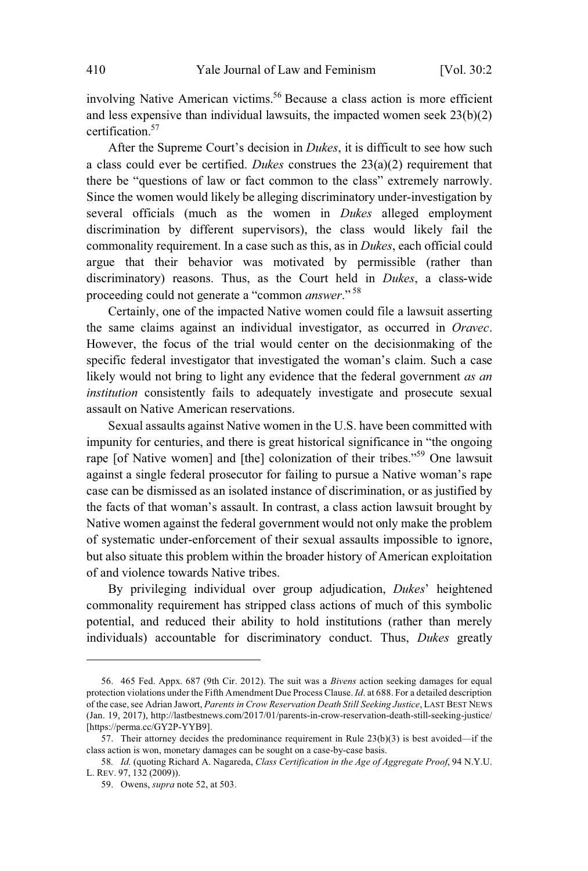involving Native American victims.<sup>56</sup> Because a class action is more efficient and less expensive than individual lawsuits, the impacted women seek 23(b)(2) certification.<sup>57</sup>

After the Supreme Court's decision in *Dukes*, it is difficult to see how such a class could ever be certified. *Dukes* construes the 23(a)(2) requirement that there be "questions of law or fact common to the class" extremely narrowly. Since the women would likely be alleging discriminatory under-investigation by several officials (much as the women in *Dukes* alleged employment discrimination by different supervisors), the class would likely fail the commonality requirement. In a case such as this, as in *Dukes*, each official could argue that their behavior was motivated by permissible (rather than discriminatory) reasons. Thus, as the Court held in *Dukes*, a class-wide proceeding could not generate a "common *answer*." <sup>58</sup>

Certainly, one of the impacted Native women could file a lawsuit asserting the same claims against an individual investigator, as occurred in *Oravec*. However, the focus of the trial would center on the decisionmaking of the specific federal investigator that investigated the woman's claim. Such a case likely would not bring to light any evidence that the federal government *as an institution* consistently fails to adequately investigate and prosecute sexual assault on Native American reservations.

Sexual assaults against Native women in the U.S. have been committed with impunity for centuries, and there is great historical significance in "the ongoing rape [of Native women] and [the] colonization of their tribes."<sup>59</sup> One lawsuit against a single federal prosecutor for failing to pursue a Native woman's rape case can be dismissed as an isolated instance of discrimination, or as justified by the facts of that woman's assault. In contrast, a class action lawsuit brought by Native women against the federal government would not only make the problem of systematic under-enforcement of their sexual assaults impossible to ignore, but also situate this problem within the broader history of American exploitation of and violence towards Native tribes.

By privileging individual over group adjudication, *Dukes*' heightened commonality requirement has stripped class actions of much of this symbolic potential, and reduced their ability to hold institutions (rather than merely individuals) accountable for discriminatory conduct. Thus, *Dukes* greatly

<sup>56. 465</sup> Fed. Appx. 687 (9th Cir. 2012). The suit was a *Bivens* action seeking damages for equal protection violations under the Fifth Amendment Due Process Clause. *Id*. at 688. For a detailed description of the case,see Adrian Jawort, *Parents in Crow Reservation Death Still Seeking Justice*, LAST BEST NEWS (Jan. 19, 2017), http://lastbestnews.com/2017/01/parents-in-crow-reservation-death-still-seeking-justice/ [https://perma.cc/GY2P-YYB9].

<sup>57.</sup> Their attorney decides the predominance requirement in Rule 23(b)(3) is best avoided—if the class action is won, monetary damages can be sought on a case-by-case basis.

<sup>58</sup>*. Id.* (quoting Richard A. Nagareda, *Class Certification in the Age of Aggregate Proof*, 94 N.Y.U. L. REV. 97, 132 (2009)).

<sup>59.</sup> Owens, *supra* note 52, at 503.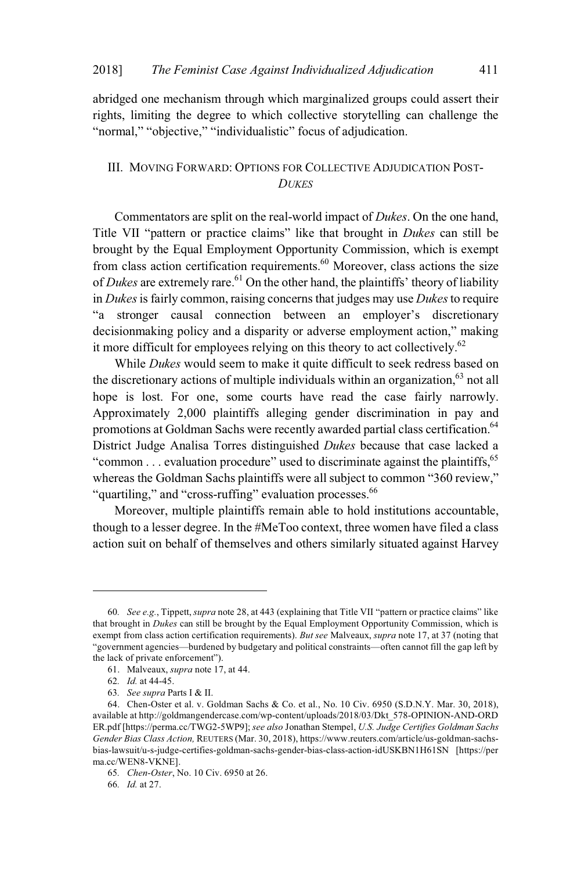abridged one mechanism through which marginalized groups could assert their rights, limiting the degree to which collective storytelling can challenge the "normal," "objective," "individualistic" focus of adjudication.

## III. MOVING FORWARD: OPTIONS FOR COLLECTIVE ADJUDICATION POST-*DUKES*

Commentators are split on the real-world impact of *Dukes*. On the one hand, Title VII "pattern or practice claims" like that brought in *Dukes* can still be brought by the Equal Employment Opportunity Commission, which is exempt from class action certification requirements.<sup>60</sup> Moreover, class actions the size of *Dukes* are extremely rare.<sup>61</sup> On the other hand, the plaintiffs' theory of liability in *Dukes*is fairly common, raising concerns that judges may use *Dukes*to require "a stronger causal connection between an employer's discretionary decisionmaking policy and a disparity or adverse employment action," making it more difficult for employees relying on this theory to act collectively.<sup>62</sup>

While *Dukes* would seem to make it quite difficult to seek redress based on the discretionary actions of multiple individuals within an organization,  $63$  not all hope is lost. For one, some courts have read the case fairly narrowly. Approximately 2,000 plaintiffs alleging gender discrimination in pay and promotions at Goldman Sachs were recently awarded partial class certification.<sup>64</sup> District Judge Analisa Torres distinguished *Dukes* because that case lacked a "common  $\dots$  evaluation procedure" used to discriminate against the plaintiffs,  $65$ whereas the Goldman Sachs plaintiffs were all subject to common "360 review," "quartiling," and "cross-ruffing" evaluation processes.<sup>66</sup>

Moreover, multiple plaintiffs remain able to hold institutions accountable, though to a lesser degree. In the #MeToo context, three women have filed a class action suit on behalf of themselves and others similarly situated against Harvey

<sup>60</sup>*. See e.g.*, Tippett, *supra* note 28, at 443 (explaining that Title VII "pattern or practice claims" like that brought in *Dukes* can still be brought by the Equal Employment Opportunity Commission, which is exempt from class action certification requirements). *But see* Malveaux, *supra* note 17, at 37 (noting that "government agencies—burdened by budgetary and political constraints—often cannot fill the gap left by the lack of private enforcement").

<sup>61.</sup> Malveaux, *supra* note 17, at 44.

<sup>62</sup>*. Id.* at 44-45.

<sup>63</sup>*. See supra* Parts I & II.

<sup>64.</sup> Chen-Oster et al. v. Goldman Sachs & Co. et al., No. 10 Civ. 6950 (S.D.N.Y. Mar. 30, 2018), available at http://goldmangendercase.com/wp-content/uploads/2018/03/Dkt\_578-OPINION-AND-ORD ER.pdf [https://perma.cc/TWG2-5WP9]; *see also* Jonathan Stempel, *U.S. Judge Certifies Goldman Sachs Gender Bias Class Action,* REUTERS (Mar. 30, 2018), https://www.reuters.com/article/us-goldman-sachsbias-lawsuit/u-s-judge-certifies-goldman-sachs-gender-bias-class-action-idUSKBN1H61SN [https://per ma.cc/WEN8-VKNE].

<sup>65</sup>*. Chen-Oster*, No. 10 Civ. 6950 at 26.

<sup>66</sup>*. Id.* at 27.